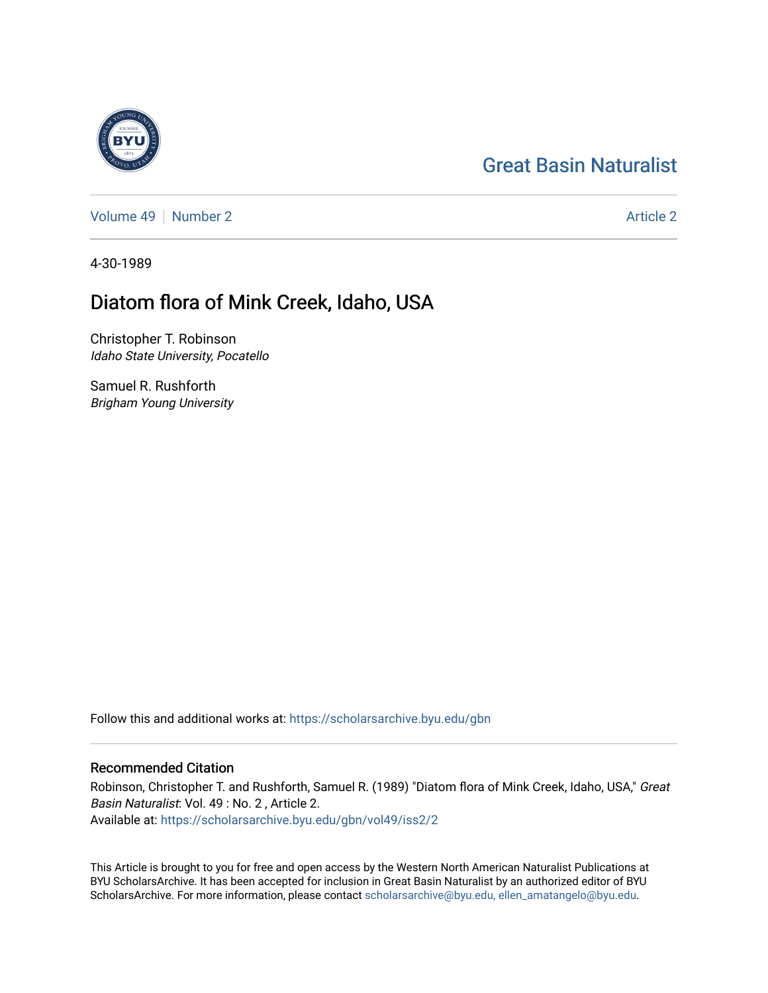# [Great Basin Naturalist](https://scholarsarchive.byu.edu/gbn)

[Volume 49](https://scholarsarchive.byu.edu/gbn/vol49) [Number 2](https://scholarsarchive.byu.edu/gbn/vol49/iss2) [Article 2](https://scholarsarchive.byu.edu/gbn/vol49/iss2/2) Article 2 Article 2 Article 2 Article 2 Article 2 Article 2

4-30-1989

## Diatom flora of Mink Creek, Idaho, USA

Christopher T. Robinson Idaho State University, Pocatello

Samuel R. Rushforth Brigham Young University

Follow this and additional works at: [https://scholarsarchive.byu.edu/gbn](https://scholarsarchive.byu.edu/gbn?utm_source=scholarsarchive.byu.edu%2Fgbn%2Fvol49%2Fiss2%2F2&utm_medium=PDF&utm_campaign=PDFCoverPages) 

### Recommended Citation

Robinson, Christopher T. and Rushforth, Samuel R. (1989) "Diatom flora of Mink Creek, Idaho, USA," Great Basin Naturalist: Vol. 49 : No. 2 , Article 2. Available at: [https://scholarsarchive.byu.edu/gbn/vol49/iss2/2](https://scholarsarchive.byu.edu/gbn/vol49/iss2/2?utm_source=scholarsarchive.byu.edu%2Fgbn%2Fvol49%2Fiss2%2F2&utm_medium=PDF&utm_campaign=PDFCoverPages)

This Article is brought to you for free and open access by the Western North American Naturalist Publications at BYU ScholarsArchive. It has been accepted for inclusion in Great Basin Naturalist by an authorized editor of BYU ScholarsArchive. For more information, please contact [scholarsarchive@byu.edu, ellen\\_amatangelo@byu.edu.](mailto:scholarsarchive@byu.edu,%20ellen_amatangelo@byu.edu)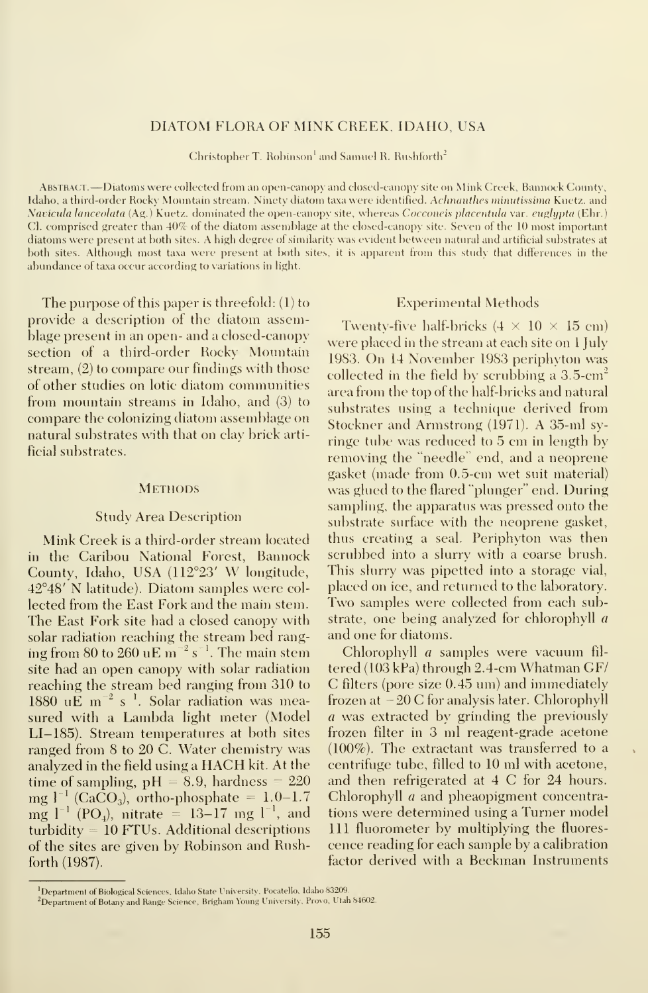### DIATOM FLORA OF MINK CREEK, IDAHO, USA

Christopher T. Robinson<sup>1</sup> and Samuel R. Rushforth<sup>2</sup>

Abstract. —Diatoms were collected from an open-canopy and closed-canopy site on Mink Creek, Bannock County, Idaho, a third-order Rocky Mountain stream. Ninety diatom taxa were identified. Achnanthes minutissima Kuetz. and Navicula lanceolata (Ag.) Kuetz. dominated the open-canopy site, whereas Cocconeis placentula var. euglypta (Ehr.) CI. comprised greater than 40% of the diatom assemblage at the closed-canopy site. Seven of the 10 most important diatoms were present at both sites. A high degree of similarity was evident between natural and artificial substrates at both sites. Although most taxa were present at both sites, it is apparent from this study that differences in the abundance of taxa occur according to variations in light.

The purpose of this paper is threefold: (1) to provide a description of the diatom assemblage present in an open- and a closed-canopy section of a third-order Rocky Mountain stream, (2) to compare our findings with those of other studies on lotic diatom communities from mountain streams in Idaho, and (3) to compare the colonizing diatom assemblage on natural substrates with that on clay brick artificial substrates.

#### **METHODS**

#### Study Area Description

Mink Creek is a third-order stream located in the Caribou National Forest, Bannock County, Idaho, USA (112°23' W longitude, 42°48' N latitude). Diatom samples were col lected from the East Fork and the main stem. The East Fork site had a closed canopy with solar radiation reaching the stream bed ranging from 80 to 260 uE m $^{-2}$  s $^{-1}$ . The main stem  $\hskip100pt\hskip10pt\hskip10pt$ site had an open canopy with solar radiation reaching the stream bed ranging from 310 to  $1880 \, \mathrm{uE} \, \mathrm{m}^{-2} \, \mathrm{s}^{-1}$ . Solar radiation was measured with <sup>a</sup> Lambda light meter (Model LI-185). Stream temperatures at both sites ranged from 8 to 20 C. Water chemistry was analyzed in the field using <sup>a</sup> HACH kit. At the time of sampling,  $pH = 8.9$ , hardness = 220 mg  $\rm l^{-1}$  (CaCO<sub>3</sub>), ortho-phosphate = 1.0–1.7  $\rm C$ mg  $l^{-1}$  (PO<sub>4</sub>), nitrate = 13–17 mg  $l^{-1}$ , and tio turbidity = 10 FTUs. Additional descriptions of the sites are given bv Robinson and Rushforth (1987).

#### Experimental Methods

Twenty-five half-bricks  $(4 \times 10 \times 15 \text{ cm})$ were placed in the stream at each site on <sup>1</sup> July 1983. On <sup>14</sup> November 1983 periphyton was collected in the field by scrubbing a  $3.5\text{-cm}^2$ area from the top of the half-bricks and natural substrates using a technique derived from Stockner and Armstrong (1971). A 35-ml sy ringe tube was reduced to 5 cm in length by removing the "needle" end, and a neoprene gasket (made from 0.5-cm wet suit material) was glued to the flared "plunger" end. During sampling, the apparatus was pressed onto the substrate surface with the neoprene gasket, thus creating a seal. Periphyton was then scrubbed into a slurry with a coarse brush. This slurry was pipetted into a storage vial, placed on ice, and returned to the laboratory. Two samples were collected from each substrate, one being analyzed for chlorophyll a and one for diatoms.

Chlorophyll a samples were vacuum fil tered (103 kPa) through 2.4-cm Whatman GF/ C filters (pore size 0.45 um) and immediately frozen at  $-20$  C for analysis later. Chlorophyll a was extracted by grinding the previously frozen filter in 3 ml reagent-grade acetone (100%). The extractant was transferred to a centrifuge tube, filled to 10 ml with acetone, and then refrigerated at <sup>4</sup> C for 24 hours. Chlorophyll a and pheaopigment concentrations were determined using a Turner model 111 fluorometer by multiplying the fluores cence reading for each sample by a calibration factor derived with a Beckman Instruments

<sup>&#</sup>x27;Department of Biological Sciences, Idaho State University. Pocatello. Idaho 83209.

 $^{2}$ Department of Botany and Range Science, Brigham Young University, Provo, Utah 84602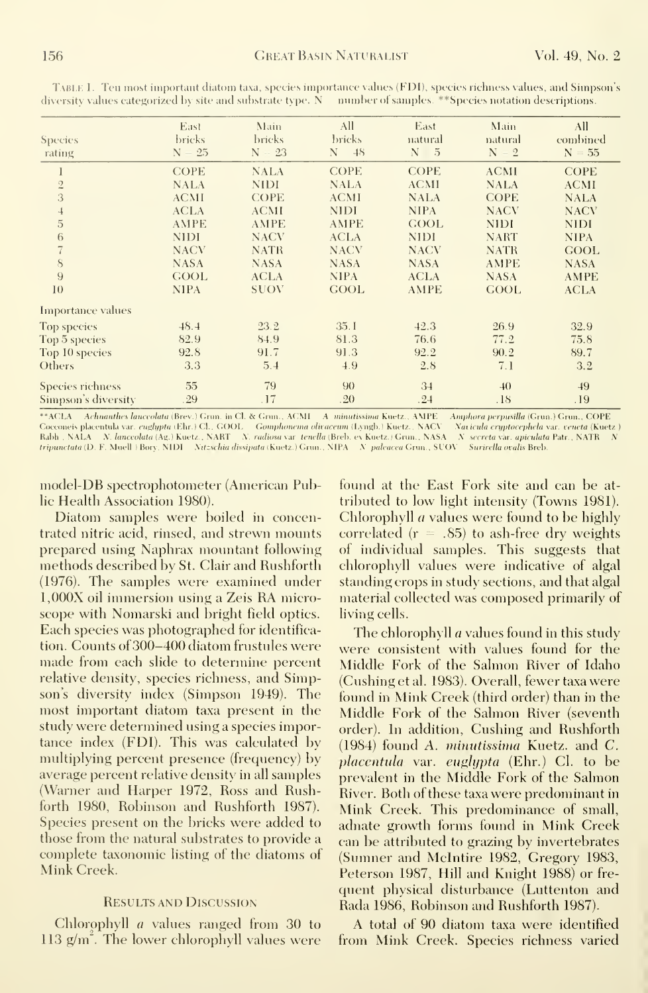| Species<br>rating       | East<br>bricks<br>$-25$<br>N | Main<br>bricks<br>$-23$<br>N | All<br><b>bricks</b><br>48<br>N | East<br>natural<br>N<br>- 5 | Main<br>natural<br>N<br>$-2$ | All<br>combined<br>$N = 55$ |  |
|-------------------------|------------------------------|------------------------------|---------------------------------|-----------------------------|------------------------------|-----------------------------|--|
|                         | <b>COPE</b>                  | <b>NALA</b>                  | <b>COPE</b>                     | <b>COPE</b>                 | <b>ACMI</b>                  | <b>COPE</b>                 |  |
| $\sqrt{2}$              | <b>NALA</b>                  | <b>NIDI</b>                  | <b>NALA</b>                     | <b>ACMI</b>                 | <b>NALA</b>                  | <b>ACMI</b>                 |  |
| 3                       | <b>ACMI</b>                  | <b>COPE</b>                  | <b>ACMI</b>                     | <b>NALA</b>                 | <b>COPE</b>                  | <b>NALA</b>                 |  |
| $\overline{a}$          | <b>ACLA</b>                  | <b>ACMI</b>                  | <b>NIDI</b>                     | <b>NIPA</b>                 | <b>NACV</b>                  | <b>NACV</b>                 |  |
| $\overline{5}$          | <b>AMPE</b>                  | <b>AMPE</b>                  | <b>AMPE</b>                     | <b>GOOL</b>                 | <b>NIDI</b>                  | <b>NIDI</b>                 |  |
| 6                       | <b>NIDI</b>                  | <b>NACV</b>                  | <b>ACLA</b>                     | <b>NIDI</b>                 | <b>NART</b>                  | <b>NIPA</b>                 |  |
| $\overline{7}$          | <b>NACV</b>                  | <b>NATR</b>                  | <b>NACV</b>                     | <b>NACV</b>                 | <b>NATR</b>                  | <b>GOOL</b>                 |  |
| 8                       | <b>NASA</b>                  | <b>NASA</b>                  | <b>NASA</b>                     | <b>NASA</b>                 | <b>AMPE</b>                  | <b>NASA</b>                 |  |
| 9                       | GOOL                         | <b>ACLA</b>                  | <b>NIPA</b>                     | <b>ACLA</b>                 | <b>NASA</b>                  | <b>AMPE</b>                 |  |
| 10                      | <b>NIPA</b>                  | SUOV                         | <b>GOOL</b>                     | <b>AMPE</b>                 | <b>GOOL</b>                  | <b>ACLA</b>                 |  |
| Importance values       |                              |                              |                                 |                             |                              |                             |  |
| <b>Top species</b>      | 48.4                         | 23.2                         | 35.1                            | 42.3                        | 26.9                         | 32.9                        |  |
| Top 5 species           | 82.9                         | 84.9                         | 81.3                            | 76.6                        | 77.2                         | 75.8                        |  |
| Top 10 species          | 92.8                         | 91.7                         | 91.3                            | 92.2                        | 90.2                         | 89.7                        |  |
| Others                  | 3.3                          | 5.4                          | 4.9                             | 2.8                         | 7.1                          | 3.2                         |  |
| <b>Species richness</b> | 55                           | 79                           | 90                              | 34                          | 40                           | 49                          |  |
| Simpson's diversity     | .29                          | .17                          | .20                             | .24                         | .18                          | .19                         |  |

Table 1. Ten most important diatom taxa, species importance values (FDI), species richness values, and Simpson's diversity values categorized by site and substrate type. N = number of samples. \*\*Species notation descriptions.

\*\*ACLA – Achnanthes lanceolata (Brev.) Grun. in Cl. & Grun., ACMI – A-minutissima Kuetz., AMPE – Amphora perpusilla (Grun.) Grun., COPE<br>Cocconeis placentula var. englypta (Ehr.) Cl., GOOL – Gomphonema olivaceum (Lyngb.) Ku tripunctata (D. F. Muell ) Bory, NIDI Nitzschia dissipata (Kuetz.) Grun., NIPA N paleacea Grun., SUOV Surirella ovalis Breb.

model-DB spectrophotometer (American Public Health Association 1980).

Diatom samples were boiled in concentrated nitric acid, rinsed, and strewn mounts prepared using Naphrax mountant following methods described by St. Clair and Rushforth (1976). The samples were examined under 1,000X oil immersion using a Zeis RA microscope with Nomarski and bright field optics. Each species was photographed for identification. Counts of 300-400 diatom frustules were made from each slide to determine percent relative density, species richness, and Simpson's diversity index (Simpson 1949). The most important diatom taxa present in the study were determined using a species importance index (FDI). This was calculated by multiplying percent presence (frequency) by average percent relative density in all samples (Warner and Harper 1972, Ross and Rushforth 1980, Robinson and Rushforth 1987). Species present on the bricks were added to those from the natural substrates to provide a complete taxonomic listing of the diatoms of Mink Creek.

#### **RESULTS AND DISCUSSION**

Chlorophyll  $a$  values ranged from 30 to  $113$  g/m<sup> $\degree$ </sup>. The lower chlorophyll values were found at the East Fork site and can be attributed to low light intensity (Towns 1981). Chlorophyll *a* values were found to be highly correlated ( $r = .85$ ) to ash-free dry weights of individual samples. This suggests that chlorophyll values were indicative of algal standing erops in study sections, and that algal material collected was composed primarily of living cells.

The chlorophyll *a* values found in this study were consistent with values found for the Middle Fork of the Salmon River of Idaho (Cushing et al. 1983). Overall, fewer taxa were found in Mink Creek (third order) than in the Middle Fork of the Salmon River (seventh order). In addition, Cushing and Rushforth (1984) found A. minutissima Kuetz. and C. placentula var. euglypta (Ehr.) Cl. to be prevalent in the Middle Fork of the Salmon River. Both of these taxa were predominant in Mink Creek. This predominance of small, adnate growth forms found in Mink Creek can be attributed to grazing by invertebrates (Sumner and McIntire 1982, Gregory 1983, Peterson 1987, Hill and Knight 1988) or frequent physical disturbance (Luttenton and Rada 1986, Robinson and Rushforth 1987).

A total of 90 diatom taxa were identified from Mink Creek. Species richness varied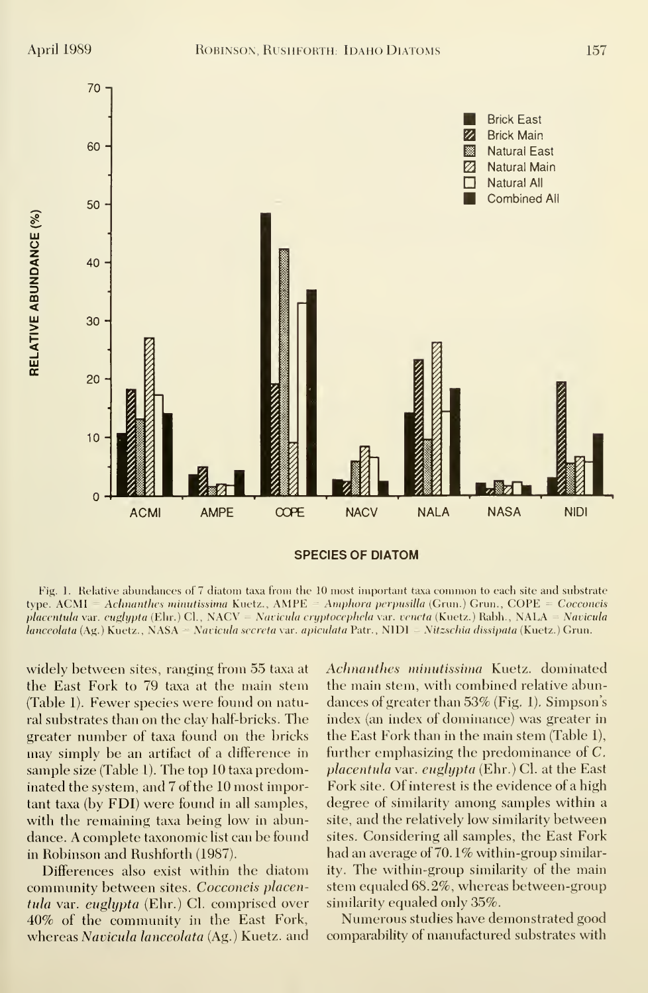

Fig. 1. Relative abundances of <sup>7</sup> diatom taxa from the 10 most important taxa common to each site and substrate type.  $ACMI = Achnanthes minutissima Kuetz., AMPE = Amphora perpusilla (Grun.) Grun., COPE = Cocconeis$ placentula var. euglypta (Ehr.) CI., NACV = Navicula cryptocephela var. veneta (Kuetz.) Rabh., NALA = Navicula lanceolata (Ag.) Kuetz., NASA = Navicula secreta var. apiculata Patr., NIDI = Nitzschia dissipata (Kuetz.) Grun.

widely between sites, ranging from 55 taxa at the East Fork to 79 taxa at the main stem (Table 1). Fewer species were found on natural substrates than on the clay half-bricks. The greater number of taxa found on the bricks may simply be an artifact of a difference in sample size (Table 1). The top 10 taxa predominated the system, and 7 of the 10 most important taxa (by FDI) were found in all samples, with the remaining taxa being low in abundance. A complete taxonomic list can be found in Robinson and Rushforth (1987).

Differences also exist within the diatom community between sites. Cocconeis placentula var. euglypta (Ehr.) CI. comprised over 40% of the community in the East Fork, whereas Navicula lanceolata (Ag.) Kuetz. and

Achnanthes minutissima Kuetz. dominated the main stem, with combined relative abundances of greater than 53% (Fig. 1). Simpson's index (an index of dominance) was greater in the East Fork than in the main stem (Table 1), further emphasizing the predominance of C. placentula var. euglypta (Ehr.) Cl. at the East Fork site. Of interest is the evidence of a high degree of similarity among samples within a site, and the relatively low similarity between sites. Considering all samples, the East Fork had an average of 70. 1% within-group similarity. The within-group similarity of the main stem equaled 68.2%, whereas between-group similarity equaled only 35%.

Numerous studies have demonstrated good comparability of manufactured substrates with